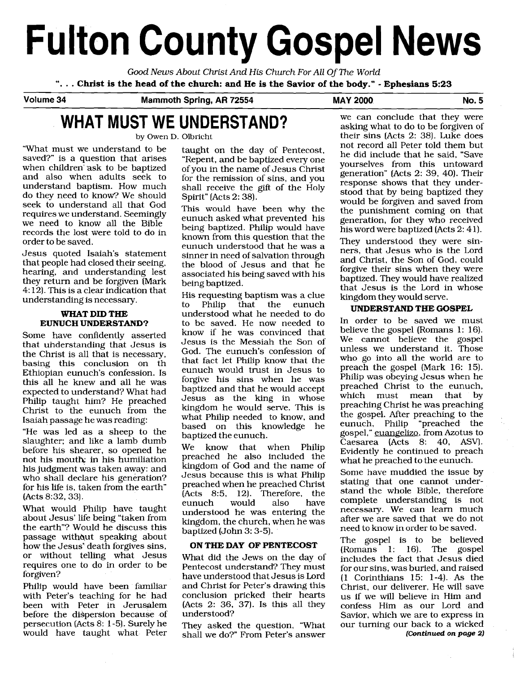# **Fulton County Gospel News**

*Good News About Christ And* His *Church For All* Of **The** *World* ". . . **Christ is the head of the church: and He is the Savior of the body."** - **Ephesians 5:23** 

**Volume 34 Mammoth Spring, AR 72554 MAY 2000. No. 5** 

## **WHAT MUST WE UNDERSTAND?** We can conclude that they were asking what to do to be forgiven of their sins (Acts 2: 38). Luke does

"What must we understand to be saved?" is a question that arises when children'ask to be baptized and also when adults seek to understand baptism. How much do they need to know? We should seek to understand all that God requires we understand. Seemingly we need to know all the Bible records the lost were told to do in order to be saved.

Jesus quoted Isaiah's statement that people had closed their seeing, hearing, and understanding lest they return and be forgiven [Mark 4: 12). This is a clear indication that understanding is necessary.

### **WHAT DID THE EUNUCH UNDERSTAND?**

Some have confidently asserted that uhderstanding that Jesus is the Christ is all that is necessary, basing this conclusion on th Ethiopian eunuch's confession. Is this all he knew and all he was expected to understand? What had Philip taught him? He preached Christ to the eunuch from the Isaiah passage he was reading:

"He was led as a sheep to the slaughter; and like a lamb dumb before his shearer, so opened he not his mouth: in his humiliation his judgment was taken away: and who shall declare his generation? for his life is, taken from the earth" (Acts 8:32,33).

What would Philip have taught about Jesus' life being "taken from the earth"? Would he discuss this passage without speaking about how the Jesus' death forgives sins, or without telling what Jesus requires one to do in order to be forgiven?

Philip would have been familiar with Peter's teaching for he had been with Peter in Jerusalem before the dispersion because of persecution (Acts 8: 1-5). Surely he would have taught what Peter taught on the day of Pentecost, "Repent, and be baptized every one of you in the name of Jesus Christ for the remission of sins, and you shall receive the gift of the Holy Spirit" [Acts 2: 38).

This would have been why the eunuch asked what prevented his being baptized. Philip would have known from this question that the eunuch understood that he was a sinner in need of salvation through the blood of Jesus and that he associated his being saved with his being baptized.

His requesting baptism was a clue Philip that the eunuch understood what he needed to do to be saved. He now needed to know if he was convinced that Jesus is the Messiah the Son of God. The eunuch's confession of that fact let Philip know that the eunuch would trust in Jesus to forgive his sins when he was baptized and that he would accept Jesus as the king in whose kingdom he would serve. This is what Philip needed to know, and based on this knowledge he baptized the eunuch.

We know that when Philip preached he also included the kingdom of God and the name of Jesus because this is what Philip preached when he preached Christ  $($ Acts 8:5, 12). Therefore, the eunuch would also have eunuch understood he was entering the kingdom, the church, when he was baptized (John 3: 3-5).

### **ON THE DAY OF PENTECOST**

What did the Jews on the day of Pentecost understand? They must have understood that Jesus is Lord and Christ for Peter's drawing this conclusion pricked their hearts (Acts  $2: 36, 37$ ). Is this all they understood?

They asked the question, "What shall we do?" From Peter's answer

asking what to do to be forgiven of their  $\sin s$  (Acts 2: 38). Luke does not record all Peter told them but he did include that he said, "Save yourselves from this untoward generation" [Acts 2: 39, 40). Their response shows that they understood that by being baptized they would be forgiven and saved from the punishment coming on that generation, for they who received his word were baptized (Acts 2: 4 1.).

They understood they were sinners, that Jesus who is the Lord and Christ, the Son of God, could forgive their sins when they were baptized. They would have realized that Jesus is the Lord in whose kingdom they would serve.

### **UNDERSTAND THE GOSPEL**

In order to be saved we must believe the gospel (Romans 1: 16). We cannot believe the gospel unless we understand it. Those who go into all the world are to preach the gospel (Mark 16: 15). Philip was obeying Jesus when he preached Christ to the eunuch,<br>which must mean that by which must mean that preaching Christ he was preaching the gospel. After preaching to the eunuch, Philip "preached the gospel," euangelizo, from Azotus to Caesarea (Acts 8: 40, ASV). Evidently he continued to preach what he preached to the eunuch.

Some have muddied the issue by stating that one cannot understand the whole Bible, therefore complete understanding is not necessary. We can learn much after we are saved that we do not need to know in order to be saved.

The gospel is to be believed (Romans 1: 16). The gospel includes the fact that Jesus died for our sins, was buried, and raised (1 Corinthians 15: 1-4). As the Christ, our deliverer, He will save us if we will believe in Him and confess Him as our Lord and Savior, which we are to express in our turning our back to a wicked **(Continued** *on* **page 2)**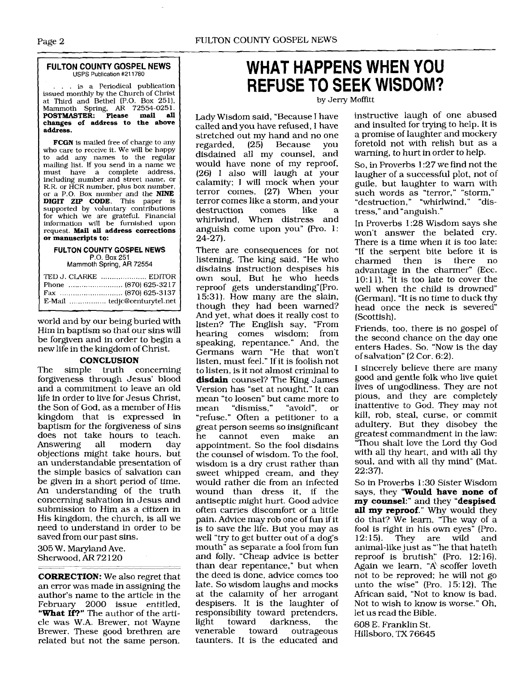### **FULTON COUNTY GOSPEL NEWS**  USPS Publication #211780

.. is a Periodical publication issued monthly by the Church of Christ at. Third and Bethel (P.O. Box 251), Mammoth Spring, **AR** 72554-0251. **POSTMASTER: Please mail all changes of address to the above address.** 

**FCGN** is mailed free of charge to any who care to receive it. We will be happy to add any names to the regular mailing list. If you send in a name we<br>must have a complete address,<br>including number and street name, or including number and street name, or R.R. or HCR number, plus box number, or a P.O. Box number and the **NINE DIGIT ZLP CODE.** This paper is supported by voluntary contributions for which 'we are grateful. Financial information will be furnished upon request. **Mail all address corrections or manuscripts to:** 

#### **FULTON COUNTY GOSPEL NEWS**  P.O. **Box** 251 Mammoth Spring, AR 72554

| E-Mail  tedjc@centurytel.net |
|------------------------------|
|                              |

world and by our being buried with Him in baptism so that our sins will be forgiven and in order to begin a new life in the kingdom of Christ.

### **CONCLUSION**

The simple truth concerning forgiveness through Jesus' blood and a commitment to leave an old life in order to live for Jesus Christ, the Son of God, as a member of His kingdom that is expressed in baptism for the forgiveness of sins does not take hours to teach.<br>Answering all modern day Answering objections might take hours, but an understandable presentation of the simple basics of salvation can be given in a short period of time. An understanding of the truth concerning salvation in Jesus and submission to Him as a citizen in His kingdom, the church, is all we need to understand in order to be saved from our past sins.

305 W. Maryland Ave. Sherwood, AR 72120

**CORRECTION:** We also regret that an error was made in assigning the author's name to the article in the February 2000 issue entitled, **"What If?"** The author of the article was W.A. Brewer, not Wayne Brewer. These good brethren are related but not the same person.

### **WHAT HAPPENS WHEN YOU REFUSE TO SEEK WISDOM?**

by Jerry Moffitt

Lady Wisdom said, "Because I have called and you have refused, I have stretched out my hand and no one<br>regarded, (25) Because you  $(25)$  Because disdained all my counsel, and would have none of my reproof, (26) I also will laugh at your calamity; I will mock when your terror comes, (27) When your terror comes like a storm, and your<br>destruction comes like a destruction comes like a whirlwind, When distress and anguish come upon you" (Pro. 1:  $24 - 27$ ).

There are consequences for not listening. The king said, "He who disdains instruction despises his own soul, But he who heeds reproof gets understanding"(Pr0. 15:31). How many are the slain, though they had been warned? And yet, what does it really cost to listen? The English say, "From hearing comes wisdom: from speaking, repentance." And, the Germans warn "He that won't listen, must feel." If it is foolish not to listen, is it not almost criminal to **disdain** counsel? The King James Version has "set at nought." It can mean "to loosen" but came more to<br>mean "dismiss," "avoid", or "dismiss," "avoid", or "refuse." Often a petitioner to a great person seems so insignificant<br>he cannot even make an cannot appointment. So the fool disdains the counsel of wisdom. To the fool, wisdom is a dry crust rather than sweet whipped cream, and they would rather die from an infected wound than dress it, if the antiseptic might hurt. Good advice often carries discomfort or a little pain. Advice may rob one of fun if it is to save the life. But you may as well "try to get butter out of a dog's mouth" as separate a fool from fun and folly. "Cheap advice is better than dear repentance," but when the deed is done, advice comes too late. So wisdom laughs and mocks at the calamity of her arrogant despisers. It is the laughter of responsibility toward pretenders,<br>light toward darkness, the light toward darkness, the outrageous taunters. It is the educated and

instructive laugh of one abused and insulted for trying to help. It is a promise of laughter and mockery foretold not with relish but as a warning, to hurt in order to help.

So, in Proverbs 1.27 we find not the laugher of a successful plot, not of guile, but laughter to warn with such words as "terror," "storm," "destruction," "whirlwind," "distress," and "anguish."

In Proverbs 1 :28 Wisdom says she won't answer the belated cry. There is a time when it is too late: "If the serpent bite before it is charmed then is there no advantage in the charmer" (Ecc. 10:11).  $\tilde{r}$  it is too late to cover the well when the child is drowned" (German). "It is no time to duck thy head once the neck is severed (Scottish).

Friends, too, there is no gospel of the second chance on the day one enters Hades. So, "Now is the day of salvation" (2 Cor. 6:2).

I sincerely believe there are many good and gentle folk who live quiet lives of ungodliness. They are not pious, and they are completely inattentive to God. They may not kill, rob, steal, curse, or commit adultery. But they disobey the greatest commandment in the law: "Thou shalt love the Lord thy God with all thy heart, and with all thy soul, and with all thy mind" (Mat. 22:37).

So in Proverbs 1: 30 Sister Wisdom says, they "Would have none of my counsel:" and they "despised all my reproof." Why would they do that? We learn, 'The way of a fool is right in his own eyes<sup>\*</sup> (Pro. 12:15). They are wild and They are wild and animal-like just as "'he that hateth reproof is brutish" (Pro. 12: 16). Again we learn, "A\ scoffer loveth not to be reproved: he will not go unto the wise" (Pro. 15: 12). The African said, "Not to know is bad. Not to wish to know is worse." Oh, let us read the Bible.

608 E. Franklin St. Hillsboro, TX 76645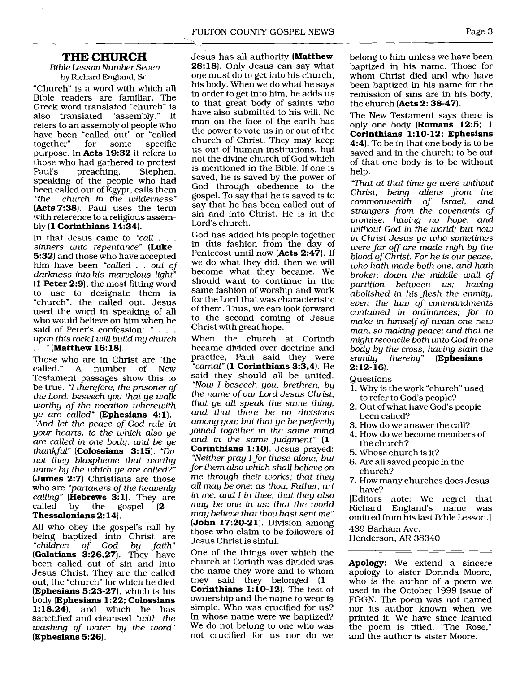### **THE CHURCH**

*Bible Lesson Number Seven by* Richard *England,* Sr.

"Church" is a word with which all Bible readers are familiar. The Greek word translated "church" is<br>also translated "assembly." It also translated "assembly." refers to an assembly of people who have been "called out" or "called<br>together" for some specific together" purpose. In **Acts 19:32** it refers to those who had gathered to protest<br>Paul's preaching. Stephen. preaching. speaking of the people who had been called out of Egypt, calls them<br>"the church in the wilderness" *"the church in the wilderness"*  **(Acts7:38).** Paul uses the term with reference to a religious assembly **(1 Corinthians 14:34).** 

In that Jesus came to *"call* . . . *sinners unto repentance"* **(Luke 5:32)** and those who have accepted him have been *"called* . . *out of darkness into his marvelous light"*  **(1 Peter 2:9),** the most fitting word to use to designate them is "church, the called out. Jesus used the word in speaking of all who would believe on him when he<br>said of Peter's confession: " . . . upon this rock I will build my church<br>. . . " (**Matthew 16:18**).

Those who are in Christ are "the called." A number of New A number Testament passages show this to be true. *"1 therefore, the prisoner of the Lord, beseech you that ye walk worthy of the vocation wherewith ye are called"* **(Ephesians 4:l).**  *"And let the peace of God rule in your hearts, to the which also ye are called in one body; and be ye thankful"* **(Colossians 3: 15).** *"Do not they blaspheme that worthy name by the which ye are called?"*  **(James 2:7)** Christians are those who are *"partakers of the heavenly calling"* (**Hebrews 3:1**). They are called by the gospel (2 gospel  $\left( 2 \right)$ **Thessalonians 2: 14).** 

All who obey the gospel's call by being baptized into Christ are<br>"children of God bu faith" *"children of God by faith"*  (Galatians 3:26,27). They have been called out of sin and into Jesus Christ. They are the called out, the "church" for which he died **(Ephesians 5:23-27),** which is his body **(Ephesians 1:22; Colossians 1:18,24),** and which he has sanctified and cleansed *"with the washing of water by the word"*  **(Ephesians 5:26).** 

Jesus has all authority **(Matthew 28:18).** Only Jesus can say what one must do to get into his church, his body. When we do what he says in order to get into him, he adds us to that great body of saints who have also submitted to his will. No man on the face of the earth has the power to vote us in or out of the church of Christ. They may keep us out of human institutions, but not the divine church of God which is mentioned in the Bible. If one is saved, he is saved by the power of God through obedience to the gospel. To say that he is saved is to say that he has been called out of sin and into Christ. He is in the Lord's church.

God has added his people together in this fashion from the day of Pentecost until now **(Acts 2:47).** If we do what they did, then we will become what they became. We should want to continue in the same fashion of worship and work for the Lord that was characteristic of them. Thus, we can look forward to the second coming of Jesus Christ with great hope.

When the church at Corinth became divided over doctrine and practice, Paul said they were *''carnal"* **(1 Corinthians 3:3,4).** He said they should all be united. *"Now 1 beseech you, brethren, by the name of our Lord Jesus Christ, that ye all speak the same thing, and that there be no divisions among you; but that ye be perfectly .joined together in the same mind and in the same judgment"* **(1 Corinthians 1:10**). Jesus prayed: *"Neither pray 1 for these alone, but for them also which shall believe on me through their works; that they all may be one; as thou, Father, art in me, and 1 in thee, that they also may be one in us: that the world may believe that thou hast sent me"*  **(John 17:20-2 1).** Division among those who claim to be followers of Jesus Christ is sinful.

One of the things over which the church at Corinth was divided was the name they wore and to whom they said they belonged **(1 Corinthians 1: 10-12).** The test of ownership and the name to wear is simple. Who was crucified for us? In whose name were we baptized? We do not belong to one who was not crucified for us nor do we

belong to him unless we have been baptized in his name. Those for whom Christ died and who have been baptized in his name for the remission of sins are in his body, the church **(Acts 2: 38-47).** 

The New Testament says there is only one body **(Romans 12:5; 1 Corinthians 1** : **10- 12; Ephesians 4:4).** To be in that one body is to be saved and in the church; to be out of that one body is to be without help.

*'W~at at that time ye were without Christ, being aliens from the commonwealth of Israel, and strangers from the covenants of promise, having no hope, and without God* in *the world; but now in Christ Jesus ye who sometimes were far 08 are made nigh by the blood of Christ. For he is our peace, who hath made both one, and hath broken down the middle wall of partition between us; having abolished* in *his flesh the enmity, even the law of commandments contained in ordinances; for to make in himself of twain one new man, so making peace; and that he might reconcile both unto God in one body by the cross, having slain the enmity thereby"* **(Ephesians 2:12-16).** 

Questions

- 1. Why is the work "church" used to refer to God's people?
- 2. Out of what have God's people been called?
- **3.** How do we answer the call?
- 4. How do we become members of the church?
- 5. Whose church is it?
- 6. Are all saved people in the church?
- 7. How many churches does Jesus have?

(Editors note: We regret that<br>Richard England's name was Richard England's name omitted from his last Bible Lesson.] 439 Barham Ave.

Henderson, AR 38340

**Apology:** We extend a sincere apology to sister Dorinda Moore, who is the author of a poem we used in the October 1999 issue of FGGN. The poem was not named nor its author known when we printed it. We have since learned the poem is titled, 'The Rose," and the author is sister Moore.